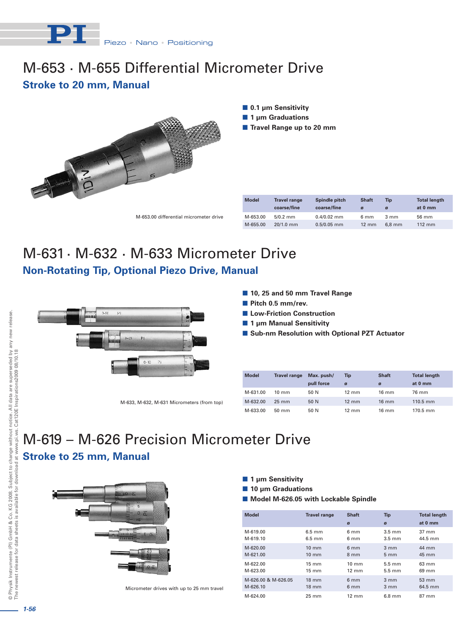

## M-653 · M-655 Differential Micrometer Drive **Stroke to 20 mm, Manual**



 **0.1 µm Sensitivity** ■ 1 µm Graduations

**Travel Range up to 20 mm** 

|    |          | coarse/fine | coarse/fine   |                 | ø        | at 0 mm |
|----|----------|-------------|---------------|-----------------|----------|---------|
| ve | M-653.00 | $5/0.2$ mm  | $0.4/0.02$ mm | 6 mm            | 3 mm     | 56 mm   |
|    | M-655.00 | $20/1.0$ mm | $0.5/0.05$ mm | $12 \text{ mm}$ | $6.8$ mm | 112 mm  |
|    |          |             |               |                 |          |         |

**Model Travel range Spindle pitch Shaft Tip Total length**

# M-631 · M-632 · M-633 Micrometer Drive **Non-Rotating Tip, Optional Piezo Drive, Manual**



- **10, 25 and 50 mm Travel Range**
- **Pitch 0.5 mm/rev.**
- **Low-Friction Construction**
- **1 µm Manual Sensitivity**
- Sub-nm Resolution with Optional PZT Actuator

| <b>Model</b> | <b>Travel range</b> | Max. push/ | Tip             | <b>Shaft</b>    | <b>Total length</b>  |
|--------------|---------------------|------------|-----------------|-----------------|----------------------|
|              |                     | pull force | ø               | Ø               | at 0 mm              |
| M-631.00     | $10 \text{ mm}$     | 50 N       | $12 \text{ mm}$ | $16 \text{ mm}$ | 76 mm                |
| M-632.00     | $25 \text{ mm}$     | 50 N       | $12 \text{ mm}$ | $16 \text{ mm}$ | $110.5 \, \text{mm}$ |
| M-633.00     | $50 \text{ mm}$     | 50 N       | $12 \text{ mm}$ | $16 \text{ mm}$ | $170.5$ mm           |

# **Stroke to 25 mm, Manual** M-619 – M-626 Precision Micrometer Drive

M-633, M-632, M-631 Micrometers (from top)



Micrometer drives with up to 25 mm travel

- 1 µm Sensitivity
- **10 µm Graduations**
- **Model M-626.05 with Lockable Spindle**

| <b>Model</b>        | <b>Travel range</b> | <b>Shaft</b><br>ø | <b>Tip</b><br>ø  | <b>Total length</b><br>at 0 mm |
|---------------------|---------------------|-------------------|------------------|--------------------------------|
| M-619.00            | $6.5 \text{ mm}$    | 6 mm              | $3.5 \text{ mm}$ | $37 \text{ mm}$                |
| M-619.10            | $6.5 \text{ mm}$    | 6 mm              | $3.5 \text{ mm}$ | 44.5 mm                        |
| M-620.00            | $10 \text{ mm}$     | 6 <sub>mm</sub>   | $3 \, \text{mm}$ | 44 mm                          |
| M-621.00            | $10 \text{ mm}$     | $8 \text{ mm}$    | 5 <sub>mm</sub>  | 45 mm                          |
| M-622.00            | $15 \text{ mm}$     | $10 \text{ mm}$   | $5.5 \text{ mm}$ | 63 mm                          |
| M-623.00            | $15 \text{ mm}$     | $12 \text{ mm}$   | $5.5 \text{ mm}$ | 69 mm                          |
| M-626.00 & M-626.05 | $18 \text{ mm}$     | 6 <sub>mm</sub>   | $3 \, \text{mm}$ | $53 \, \text{mm}$              |
| M-626.10            | $18 \text{ mm}$     | 6 <sub>mm</sub>   | $3 \, \text{mm}$ | 64.5 mm                        |
| M-624.00            | 25 mm               | $12 \text{ mm}$   | $6.8$ mm         | $87 \text{ mm}$                |